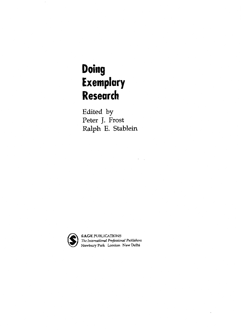# Doing **Exemplary Research**

Edited by Peter J. Frost Ralph E. Stablein



**SAGE PUBLICATIONS**   $The International Professional Publishing$ **Newbury Park** London **New Delhi**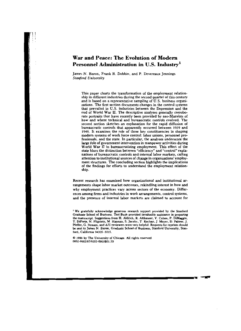## **War and Peace: The Evolution of Modern**  Personnel Administration in U.S. Industry<sup>1</sup>

**James N. Baron, Frank R. Dobbin,** and **P. Devereaux Jennings Slanford** *University* 

**This paper charts the transformation of the empIoyment relationship in different industries during the second quarter of this centuy and is based on a representative sampling of U.S. business organizations. The first section documents changes in the control systems that prevailed in U.S. industries between the Depression and the end of World War 11. The descriptive analyses generally corrob rate partraits** that **have recently been provided by neo-Marxists of how and where technical and bureaucratic controls evolved. The second section sketches an explanation for the rapid diffusion of bureaucratic controls that apparently occurred between 1939 and 1946. It examines the role of three key constituencies in shaping modem systems of work force control: labor unions, personnel professionals, and the state. In particular, the analvses underscore the large iole of government intervention in manpower activities during World War II in bureaucratiaing employment. This effect of the state blurs the distinction between "efficiency" and "control" explanations of bureaucratic controls and internal labor markets, calling attention institutional sources of change in organizations' employment structures. The concluding section highlights the implications of the findings for efforts to understand the employment relationship.** 

**Recent research has examined how organizational and institutional arrangements shape labor market outcomes, rekindling interest in how and why employment practices vary across sectors of the economy. Differences among** firms **and industries in work arrangements, control systems, and the presence of inbrnal labor markets are claimed to account for** 

<sup>&</sup>lt;sup>1</sup> We gratefully acknowledge generous research support provided by the Stanford **Gradunlr School of Business. Ten Bush provided invduablc assistance in preparing the manuscript. Suggestions from H. Aldrich, R. Althawer, Y. Cohen, P. D-, T. DiPrcte, N. Fligstein, M Hannan, S. Jacob?, T Kochan,** J **Meyer, D. Palmer, J. Pfcffer, C. Strauss, and** *AIS* **reviewers were very helpful. Requests for reprintr should bz sent to James N. Ban, Graduate School of Business, Stanfnrd University, Stanford, Califomla W305-5015.** 

**<sup>8</sup> l9B6 by The University of Chicago. All rights reserved OCIOZ-9602/87/9202-0003%01.5D**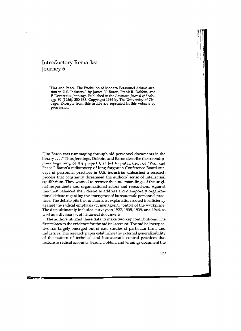### Introductory Remarks: Journey 6

"War **and Peace: The Evolution of Modem** Personnel **Administra**tion in U.S. **Industry," by James** N. Baron, **Frank R. Dobbin. and**  P. **Devereaux Jennings. Published in the American** *Journal* **of Sociol**ogy, **92 (1986), 350-383. Copyright 1986 by The University of** Chi**cago. Excerpts from this article** are **reprinted in this volume by permission.** 

"Jim Baron **was** rummaging **through old personnel documents in the library** . . . ." **Thus Jennings, Dobbin, and Baron describe the serendipitous beginning of the project that led to publication of "War and**  Peace." **Baron's rediscovery of Iong-forgotten Conference Board surveys of personnel practices in** U.S. **industries unleashed a research process** that **constantly threatened the authors' sense of intellectual equilibrium. They wanted to recover the understandings of the original respondents and organizational actors and researchers. Against this they balanced their desire to address a contemporary** organiza**tional debate regarding the emergence of bureaucratic personnel practices.** The **debate pits the** functionalist **explanation rooted in efficiency against the radical emphasis on managerial control of the workplace.**  The **data ultimately included surveys in 1927,1935,1939, and 1946, as**  well **as a diverse set of historical documents.** 

**The authors utilized these data to make two key contributions. The first relates to the evidence** for **the radical account. The radical perspective has largely emerged out of case studies of particular firms and industries. The research paper establishes** the **external** generalizability **of the pattern of** technical **and bureaucratic control practices** that feature **in radical accounts.** Baron, Dobbin, **and Jennings document the**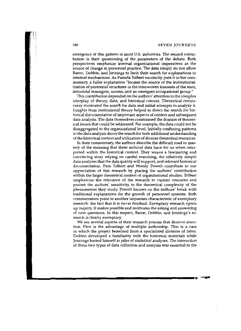emergence of this pattern in most U.S. industries. The second contri**bution is their questioning of the parameters of the debate. Both perspectives emphasize internal organizational imperatives as the source of change in personnel practice. The data simply do not allow**  Baron, **Dobbin, and Jennings to limit their search for explanations** to **internal mechanisms. As Pamela ToIbert succinctly puts it in her commentary, a fuller explanation "locates the source of the** institutional**ization of personnel structures in the interwoven interests of the state, industrial managers, unions, and an emergent occupational group."** 

**This contribution depended on the authors' attention to the complex interplay of theory, data, and historical context. Theoreticai controversy motivated the search for data and initial attempts to analyze it. Insights from institutional theory helped to direct the search for his**torical **dwumentation of important aspects of context and subsequent data analysis. The data themselves constrained the domain of theoret**ical **issues that could be addressed. For example, the data could not be disaggregated to** the **organizational level.** Initially confusing **pat terns in** the **data analysis drove the** *search* **for both additiond understanding of the historical context and ufdization of diverse theoretical resources.** 

In their commentary, the authors describe the difficult road to mas**tery of the meaning** *that* **these archival data have** for **us when** inter**preted within the historical context. They weave a fascinating and convincing story relying on careful reasoning, the relatively simple**  data analyses that the data quality will support, and relevant historical **documentation. Pam Tolbert and Woody Powell contribute to our appreciation of this research by placing the authors' contribution within the larger theoreticd context of organizational studies. Tolbert emphasizes the relevance of the research to current concerns and praises the authors' sensitivity to the theoretical complexity of the phenomenon they study. Powell focuses on the authors' break with traditional explanations for the growth** of **persome1 systems. Both commentators point to anather important characteristic of exemplary research: the fact that it is never fnushed. Exemplary research opens up inquiry. It makes possible and motivates the asking and answering of new questions. In this respect,** Baron, Dobbin, **and Jennings's research is clear1 y exemplary.** 

**We** *see* **several aspects of their research process** that **deserve** attention. **First is the advantage of multiple authorship. This is a case**  in which *the* **projet benefited** from **a specialized division of labor.**  Dobbin **developed a familiarity with the historical materials while**  Jemings **buried himself in piles of statistical analyses. The interaction of these IWO types of data collection and analysis was essential to the**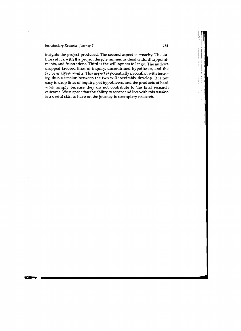**insights the project produced. The second aspect is tenacity. The authors stuck with the project despite numerous dead ends, disappoint**ments, **and frustrations. Thud is the wiUingness to let** *go.* **The authors dropped favored lines of inquiry, unconfirmed hypotheses, and the**  factor **analysis results. This aspect is potentially in conflict with tenacity, thus a tension between the two wiU inevitably develop.** It **is** not **easy to drop lines of inquiry, pet hypotheses, and** the **products of hard work simply because they do not** conhibute to **the final research outcome. We suspect that the ability to accept and live with this tension is a useful ski11 to have on the journey to exemplary research.**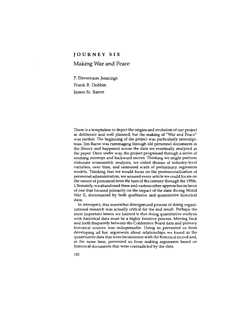# **JOURNEY SIX**  Making War **and** Peace

P. **Devereaux** Jemings **Frank** R. Dobbin **James** N. **Baron** 

There **is a temptation** to **depict the origins and** evolution **of our project as deliberate and well planned, but the making of "War and Peace"**  was neither. **The beginning of the project was particularly serendipitous.** Jim Baron **was rummaging through old personnel documents in**  the **library** and **happened across the data we eventually analyzed in the paper. Once under way, the project progressed through a series** of seeming **missteps** and **backward moves. Thmking we might perform elaborate econometric andyses, we coded dozens** of **industry-level**  variables, **over** time, **and estimated scads of preliminary regression**  models. Thinking that we would focus on the professionalization of **personnel administration, we scoured every article we could** locate **on the** nature **of personnel from the** turn **of** the **century through the 1950s. Ultimately, we abandoned these and various other approaches in** favor **of** one **that focused primardy on the** impact **of the state during World**  War II, documented by both qualitative and quantitative historical **data.** 

**In retrospect, this somewhat disorganized process of doing organizational research was actually critical for the end resuIt. Perhaps the most important lesson we learned is that doing quantitative analysis with historical data must IE a highly iterative process. Moving back and forth frequently between the** Conference **Board** data **and primary historical sources was indispensable.** Doing **so prevented us from developing ad** hoc **arguments about relationships we found in the quantitative data that were inconsistent with the lus~orical record and, at the same time, prevented us from making arguments based on historical documents that were contradicted by the data.**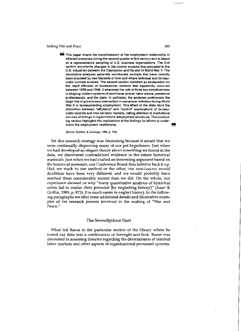**6** This **paper** charts the **transformation of** the employment relationship in different industries during the second quarter of this century and is based on a representative sampling of **U.S.** business organizations. **Ths** first **section** documents changes in the control systems that **prevailed** in **the U.5, industries between tho** Depression and the end **of** World War 11. The descriptive **analyses** generally wrroborate portraits that have recently been provided by **neo-Mamists of** how and where technical and **bureau**cratic controls evolved. The **wcond** section **sketches** an explanation **for**  the rapid diffusion of bureaucratic controls that apparently occurred between 1939 and 1946. It examines the role of three key constituencies in shaping modern systems **ot** workforce **control:** labor unions, personnel professionals, and the state. In particular, the analyses underscore the large role of **government** intervention **in mnnpower** activities during World War *II in* **bureaucratizing employment. This etfect ol tb** stale blurs the distinction between "efficiency" and "control" explanations of bureaucratic controls and internal labor markets, calling attention to institutional sources of change in organizations' employment structures. The concluding section highlights the implications of the findings for efforts to under-stand the employment relationship. **9** 

(Baron, Dobbin, & Jennings, 1986, p. 350)

Yet **this research strategy was frustrating kcause it meant** that **we were continually disproving** many **of our pet hypotheses. Just when we had** developed **an** *degant theory* **about sorn~thing we found in** the data, we discovered contradictory evidence in the extant historical **materials, Just when we** had **crafted an interesting argument based on**  the **historical materials, our Conference hard data failed to back it up. Had** we **stuck to** one **method or the other,** our **conclusiuns would doubtIess have been very different, and we would** *probably* **have reached** them **considerably** sooner **than we did. On the whole,** our **cxperienc~ showed us why "many quantitative** analyses of historical **series** fail **to realize their potential by neglecting history]" (Isaac** & Griffin, 1989, **p. 873):** It **is** much **easier to neglect history. In** the **follow**ing **paragraphs we offer some additional details and illustrative examples of** the **research process involved in the making of "War and Peace.** "

#### **The Serendipitous** Start

What **led Baron to the particuIar section** of **the Iibrary where** *he*  **found our data was a combirmliun vl foresight and luck. Baron was interested in** *assessing* **theories regarding** the **determinants of** internal labor **markets and other aspects of organizational personnel systems.**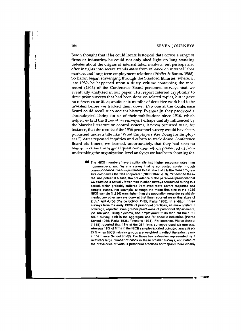Baron thought **that if he could locate historical data across a range of firms** *or* **industries, he could** not **only shed light on long-standing debates about the origins of internd labor markets,** but **perhaps also offer insights into recent trends away** from **reliance on** internal **labor markets and long-term employment relations (Pfeffer** & **Baron, 1988). So Baron began scavenging through the Stanford libraries, where, in late 1982, he happened upon a dusty volume containing the most recent (1946) of the Conference Board personnel surveys that we eventudly analyzed in our paper. That report referred cryptically to three** prior **surveys** that **had been done on related topics, but it gave no references or** titles; **another six months of detective work had to be invested before we tracked** them **down. (No one at the Conference Board could recall such ancient history. EventualIy, they produced a**  chronologjcal **listing for us of their publications since 1916, which helped us find** the three **other surveys. Perhaps unduly influenced by the Mamist literature on** control **systems, it never ocmred to us,** for **instance, that** the **results of the 1936 personnel survey w~uld have been published under a title like "What Employers Are** Doing **for** Employ**ees.") After repeated inquiries and efforts to track down Conference Board** old-timers, **we learned, unfortunately, that they had** seen **no reason to retain the original questionnaires, which prevented us from undertaking the organization-level analyses we had been** shooting **for.** 

> **6** The **NICB** members **have** traditionally had higher response rates than nonmembers, and 'in any **survey that is** conducted solely through correspondence it seems justifiable to assume that it is the more progressive **mrnpanies** that will cooperate' (NICB **1947, p.** 3). Yet **despite** these real and potential biases, the prevalence of the personnel practices that we examine is actually *lower* than in other surveys conducted during this period, which probably **sMered from even more severe** response and **sample** biases. For example, although the mean firm size in **the** 1935 **NtCB** sample (1,836) was higher than the population mean **lor** establishments, two other **survays** done at that time reported mean firm sizes of 2,557 and 4,753 (Pierce **School** 1935; Parks 1936). **in** addition, **Ulree**  surveys from **the** early 1930s of personnel practices, all more limited in coverage, reported even greater prevalence of personnel departments, **j&** analyses, rating systems, and **empbymsnt** tests than did the 1935 **NlCB** survey, both in the aggregate and **for** specific industries (Pierce School 1935; Parks 1936; Timmons 1931). For instance, Pierce School (1935) reported that 43% **ol** the 254 firms surveyed used job analysis, whereas 18% of firms in the NICB sample reported using job analysis (or 27% when NICB industry **groups are** weighted **to** rellsct the industry mix in the Pierce School study). For those few industries represented by a relatively large number of **mses** in these smaller surveys, estimates of the prevalence **of** various personnel practices correspond more closely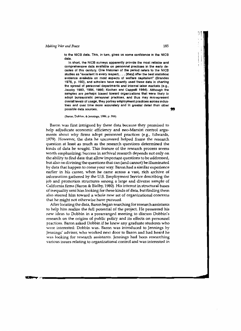to the NICB data. This, in turn, gives us some confidence in the NICB **data.** 

**In short, the NlCB surveys apparently provide the most reliable and**  comprehensive data available on personnel practices in the early de**cades of this century. One historian of the period refers to the NlCB studjes as 'excellent in every respect,** . . . **[they] offer the best statistical evidence available on most aspects of welfare capitelism" (Brandes 1976, p. 193). and scholars have recently used these data in charting the spread of personnel departments and internal labor markets (e.g., Jamby 1983, 1984, 1985; Kochan and Cappelli 1984). Although the samples are perhaps biased toward organizations that were likely to adopt bureaucratic personnel pradices, and thus may misrepresent**  overall levels of usage, they portray employment practices across industries and over time more accurately and in greater detail than other **possible data sources. 39** 

(Baron, **Dobbm, &]~nnings, 1966, p. 359)** 

**Baron was first intrigued by these data because they promised** to **help adjudicate** economic **efficiency and neo-Marxist control arguments about why firms adopt personnel practices (e.g., Edwards,**  1979). **However, the data he uncovered helped frame the research question at least as much as the research questions determined the kinds** of **data** he **sought.** Tlus **feature of** the **research** process **seems worth emphasizing: Success** in **archival research depends not only on**  the ability **to find data** that allow **important questions to be addressed, but also on divining the questions that can (and cannot) be illuminated by data that happen** to **come your way. Baron had a similar experience**  earlier **in his career, when he came across a vast, rich dve of**  information **gathered by the U.S. Employment Service describing the**  job **and** promotion **structures among** a **large and diverse sample of California firms (Baron** & **Bielby, 1980). His interest in structurd bases of inequality sent** him loohng **for these kinds** of **data, but finding** them also **steered** him **toward a whole new set of** organizational **concerns that he** might **not otherwise have pursued.** 

**After locating** the **data, Baron began searching for research assistants to help** him **realize the full potential of the project. He presented his new ideas to** Dobbin **in a prearranged meeting** to **discuss** Dobbin's **research on the** origins **of public policy and its effects on personnel practices.** Baron **asked Dobbin if he knew any graduate students who were interested:** Dobbin **was. Baron was introduced to** Jennings by Jennings' adviser, who worked next door to Baron and had heard he **was looking** for **research assistants. Jennings had been researching various issues relating to organizational control and was interested in**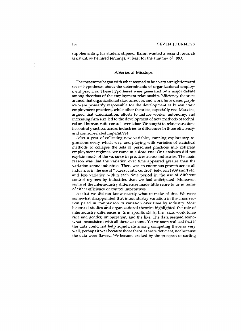supplementing hs **student stipend. Baron wanted a second research assistant, so he hired** Jemings, **at least** for **the summer** of **1983.** 

#### **A Series** of **Missteps**

The **threesome began with what seemed to be a very straightfornard set of hypotheses about the determinants of organizational employment practices. These hypotheses were generated by a major debate among theorists of the employment relationship. Efficiency theorists argued that organizational size, turnover, and work force demographics were primarily responsible for the development of bureaucratic employment practices, while other theorists, especially neo-Marxists, argued that unionization, efforts to reduce worker autonomy, and increasing firm size led to the development of new methods of** techi**cal and bureaucratic control over labor. We sought to relate variations in control practices across industries to differences in these efficiencyand contml-related imperatives.** 

**After a year of** collecting **new variables,** running **exploratory regressions every which way, and playing with varieties of statistical methods to collapse the sets of personnel practices into** coherent employment **regimes, we came to** a **dead end: Our analyses did not explain much of the variance in practices across industries. The** main reason **was that the variation over time appeared greater than the variation across industries. There was an enormous growth across** alI **industries in the use of "bureaucratic control" between 1939 and 1946, and** less **variation within each time period in the use of different control regimes by industries than we had anticipated.** Moreover, **some of** the **interindustry differences made little sense to us in terms**  of either **efficiency or** control **imperatives.** 

**At first we did not know exactly what to make** of **hs. We were somewhat disappointed that interindustry variation in the cross** section **paled in comparison to variation over time by industry.** Most **historical studies and organizational theories highlighted the role of interindustry differences in firm-specific skills, firm size, work force race and gender, unionization, and the like. The data seemed somewhat inconsistent with all these accounts. Yet we soon realized that if the data could not heLp adjudicate among competing theories very well, perhaps it was because those theories were deficient, not because the data were flawed. We became excited by the prospect of sorting**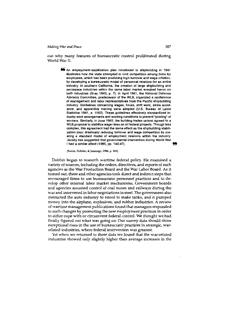**out why many features** of **bureaucratic** control **proliferated during World War** IT.

> & An employment-stabilization plan introduced in shipbuilding in 1941 illustrates how the **slate** attempted to limit **mmpetition** among firms for employees, which had been producing high turnover and wage inflation. by developing a bureaucratic model of personnel relations for an entire industry. In southern California, the creation of large shipbuilding and aerospace industries within the same labor market wreaked havoc on both industries **(Gray** 1943, p. **7).** In April 1941. the National Defense Advisory Committee, predecessor of the **WLB,** organized a conference of **management** and labor representatives from the Pacific shipbuilding industry. Guidelines concerning wages, hours, shift work, strike avoidance, and apprentice training were adopted (U.S. Bureau **of** Labor Statistics 1941, p. 1162). These guidelines effectively standardized industry **work** arrangements and working conditions to prevent 'pirating' of workers. Similarly, in June **1942.** *the* building trades **unlons** agreed to a **WtB** proposal to stabilize wage rates on all federal projects. Though less complex, this agreement had the same **effeet** as the shipbuilding stabilization plan: drastically reducing turnover and wage competition **by** creating a standard model **ot** employment relations within **the** industry. Jacoby has suggested that governmental intervention during World War I had a similar effect (1985, pp. **140-47). 9**

**(Baron, Dobbi 6r ]annings, 19s6,** p **369)** 

**Dobbin** bgan **to research wartime federal policy. He examined a variety of sources, including the orders, directives, and reports of such agencies as the War Production Board and the War Labor Board. As** it **turned out, these and** other **agencies took direct and** indirect **steps that**  encouraged firms to use bureaucratic personnel practices and to develop other **internal labor market mechanisms. Government boards and agencies assumed contrd of** coal mines **and railways during the war and intervened in labor negotiations in steel. The govement also instructed the auto industry to** retool **to make tanks, and it pumped**  money **into** the **airplane, explosives, and rubber industries. A review**  of **wartime management publications found that managers responded**  to **such changes by promoting the new employment practices in order**  to **either cope with or circumvent federal** control. We thought **we had**  finally **figured out what was going on: Our survey data should show exceptional rises in** the **use of bureaucratic practices in strategic, warrelated industries, where federal** intervention **was greatest.** 

**Yet when** we **returned** to **these** data we **found** that **the war-related industries showed** only **slightly higher than average increases in** the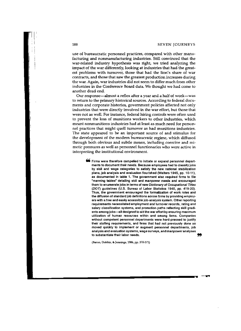use **of bureaucratic personnel practices, compared with other manufacturing and nonrnanufacturing industries. Still convinced that the war-related industry hypothesis was right, we tried analyzing the impact of the war differently, looking at industries that had the greatest problems with turnover, those that had the lion's share of war contracts, and those that saw the greatest production increases during the war Again, war industries did not seem to differ much from other industries in the Conference Board data. We thought we had come to another dead end.** 

**Our response-almost a reflex after a year and a half of work-was to return to the primary historical sources. According to fedem1 documents and corporate histories, government policies affected not** only **industries that were directly involved in the war effort, but those that were** not **as well. For instance, federal hiring controls were often used to prevent the loss of** munitions **workers to other industries, which meant nonmunitions industries had at least as much need for personnel practices that might quell turnover as had munitions industries. The state appeared to be an important source of and stimulus for the development of the modern bureaucratic regime, which diffused through both obvious and subtle means, including coercive and mimetic pressures as welI as personnel functionaries who were active in interpreting the institutional environment.** 

> Firms were theretote **compelled** to Initiate or expand personnel departments to document their needs. Because employees had to classify jobs **by** skill and wage categories to satisfy the new national stabilization plans, **job** analysis and evaluation flourished (Walters 1 **945,** pp. **10-1 I), as** documented in table **1.** The government **also** required firms to file 'manning tables" **detailing** skill and manpower needs and encouraged them to enumerate jobs in terms of new Dictionary of Occupational Titles **(DOT)** guidelines **(U.S.** Bureau of Labor Statistics **1945,** pp. **419-20).**  Thus, the government encouraged the formalization of work roles and the diffusion of standard job definitions **across lirms** by providing employers with a free and easily accessible job-analysis system. Other reporting requirements necessitated employment and turnover records, rating and salary classification systems, and promotion paths reflecting skill gradients among jobs--all designed to aid the war effort by ensuring maximum utilization of human resources within and among firms. Companies without competent personnel departments were hard-pressed to justify their staffing requirements, and firms that had **not** previously done so moved quickly to implement or augment personnel departments, job analysis and evaluation systems, wage surveys, and manpower analyses to substantiate their labor needs. **9**

(Baron, **Dobbin, dr jennings, 1986, pp. 370-371)**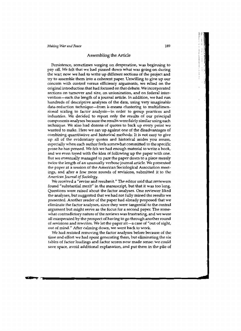#### **Assembling the Article**

**Persistence, sometimes verging on desperation, was beginning to pay off. We felt: that we had pinned down what was going on during the war; now we had to write up different sections of the project and try to assemble them into a coherent paper. Unwilling** to **give up our**  concern **with control versus efficiency arguments, we relied on the**  original **introduction that had focused on that debate. We** incorporated **sections on turnover and size, on unionization, and on federal inter**vention-each **the length of a journal article. In addition, we had run hundreds of descriptive analyses of the data, using very imaginable**  data-reduction technique-from k-means clustering to multidimen**sional scaling to factor analysis-in order to group practices and industries. We decided to report only the results of our principal components analyses because** *the* **results were fairly similar using each technique. We also had dozens** of **quotes to back up every point we wanted ta make. Here we ran up against one** of the **disadvantages** of combining **quantitative and historical methods:** It **is not easy to give up all of the evidentiary quotes and historical asides you amass, especially when each** author **feels somewhat committed to the specific prose he has penned.** We **felt we had enough** material **to write a book, and we even toyed with the idea of following up the paper with** one. **But** we **eventuaIly** managed to **pare the paper down** to **a piece merely twice the length of an unusually verbose** journal **article. We presented**  the **paper at** a **session of the American** Sociological **Association meet**ings, **and** after **a** few more **rounds** of **revisions, submitted it** to the *Americatt JournaI* of Sociology.

**We received a "revise and resubmit." The editor said that reviewers found "substantial** merit" **in the manuscript, but that it was** too l~ng. **Questions were raised about the factor analyses. One reviewer liked the analyses, but suggested that we had not fully mined the results we presented. Another reader of the paper had already proposed that we eliminate the factor analyses, since they were tangential to the central argument but might serve as the focus** for **a second paper.** The **somewhat contradictory nature** of **the reviews was frustrating, and we were at1 exasperated by the prospect of having to** *go* **throughanother round of revisions and rewrites. We let the paper** sit-a **case of "out of sight, out of mind." After** calming **down, we went back to work.** 

We **had resisted removing the factor analyses before because of the time and effort we had spent generating them, but eliminating the six tables of** factor **loadings and factor scores now made sense: we couId save space, avoid additional explanation, and put them in the pile of**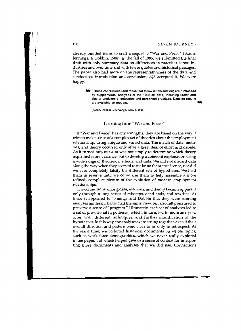**already omitted items to craft a sequel** to **"War and Peace" (Baron,**  Jennings, & **Dobbin, 1988). In the fall of 1985, we submitted the final**  draft **with only summary data on differences in practices across** in**dustries and over** time **and with fewer quotes and historical passages.**  The **paper also had more on** the **representativeness of the data and a refocused introduction and conclusion.** *AJS* **accepted it. We** were **happy.** 

**66** <sup>8</sup>These conclusions (and those that follow in this section) are buttressed by supplemental analyses of the 1935-46 data, including factor and **cluster analyses of industries and personnel practices. Detailed results**  are available on request.

**won, Dobbm,** & **Jetuungs, 1986, p. 351)** 

#### **hamirig** from "War **and Peace"**

**If** "War **and Peace" has any strengths, they are based on the way** it **tries** to **make** sense **of a complex set of theories about the employment relationshp, using unique and varied data. The match of data,** methods, **and** theory **occurred only** after a **great deal of effort and debate. As** it **turned out, our aim was not simply to determine** which **theory explained more variance, but to develop a coherent explanation using a wide range of theories, methods, and data. We did not discard data**  dong **the way when they seemed to make no theoretical sense; nor did we ever completely falsify the different sets of hypotheses. We held them in rewrve until we could use them to help assemble a more refined, complete picture of the evolution of modern empioyment relationships.** 

**The connections** among **data, methods, and theory kame apparent only through a long series of missteps, dead ends, and rewrites. At times it appeared** to **Jennings and** Dobbin that they **were running analyses aimlessly. Baron had the same view, but also felt pressured to preserve a sense** of **"progress." Ultimately, each set of analyses led to a set of provisional hypotheses,** which, in turn, **led to** more **analyses, often with different techniques, and further modification of the hypotheses. In** this **way,** the **analyses were strung together, even if their**  overall **direction and pattern were clear** to **us only in retrospect. At the same time, we collected historical documents on whole topics, such as work force demographics, which we never reaIly explored in the paper, but whch helped give us a sense of context** for **interpre**ting those **documents** and **analyses** that **we did use.** Connections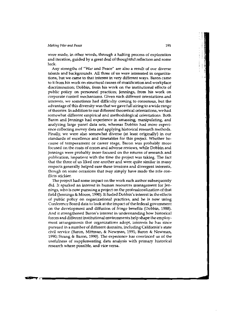**were made, in other words, through a halting process of exploration md iteration, guided by a great deal of thoughtful** reflection **and some luck.** 

**Any strengths of "War and Peace" are also a result of our diverse talents and backgrounds. All three of us were interested in organizations, but we came** to **that interest** in **very different ways.** Baron came **to it from his work on structural causes of stratrfication and workplace discrimination;** Dobbin, **from his work** on **the institutional effects of public policy on personnel practices; Jennings, from hs work on corporate** control mechanisms. **Given such different orientations and interests, we sometimes had difficulty coming to consensus, but the advantage of thjs diversity was that we gave** full airing **to a wide** range **of** theories. **In addtion to our different theoretical orientations, wehad somewhat different empirical and methodologcal orientations. Both Baron and Jennings had** exprience **in amassing, manipulating, and analyzing large panel data sets, whereas Dobbin had more experience collecting survey data and applying historical research methods.**  FinaIIy, **we were also somewhat diverse (at least** originally) in our **standards of excellence and timetables for this project. Whether because of temperament or career stage,** Baron **was probably more focused** on **the costs of errors and adverse** reviews, while **Dobbin and**  Iennings **were probably more focused on** the **returns of research and publication, impatient with the time the project was tahng.** The **fact**  that **the three of us liked** one another **and were quite similar in** many **respects generally helped ease these tensions and divergent interests,**  though **on** some **occasions that may simply have made the role con**flicts stickier.

**The project had some impart on the work each author subsequently did.** Xt **sparked an interest in human resources** management **for Jennings,** who **is now pursuing a project on the professionalization of that field (Jennings &Moore, 1990). It fueled Dobbin's interest in the effects**  of **pubIic policy on organizational practices, and he is now using**  Conference Board **data to look** at **the** impact of the **federal government on the development and diffusion of fringe hefits** (Dobbin, **1988). And it strengthened Baron's interest in understanding how hrstorical**  forces **and different** institutional **environments help shape the employment arrangements that organizations adopt, interests he** has **since pursued in** a number **of** different **domains, including California's state civil service** (Baron, **Mittman,** & Newman, **1991;** Baron **gt** Newman, **1990; Strang** & **Baron, 1990). The experience has convinced us of the usefulness of supplementing data analysis with primary historical research where possible, and vice versa.**